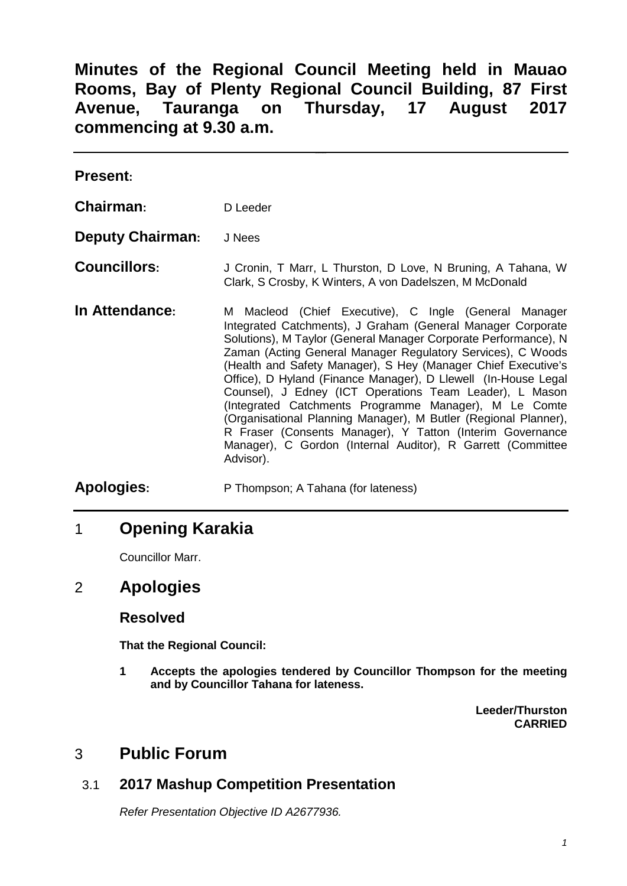# **Minutes of the Regional Council Meeting held in Mauao Rooms, Bay of Plenty Regional Council Building, 87 First Avenue, Tauranga on Thursday, 17 August 2017 commencing at 9.30 a.m.**

| <b>Present:</b>         |                                                                                                                                                                                                                                                                                                                                                                                                                                                                                                                                                                                                                                                                                                                           |
|-------------------------|---------------------------------------------------------------------------------------------------------------------------------------------------------------------------------------------------------------------------------------------------------------------------------------------------------------------------------------------------------------------------------------------------------------------------------------------------------------------------------------------------------------------------------------------------------------------------------------------------------------------------------------------------------------------------------------------------------------------------|
| Chairman:               | D Leeder                                                                                                                                                                                                                                                                                                                                                                                                                                                                                                                                                                                                                                                                                                                  |
| <b>Deputy Chairman:</b> | J Nees                                                                                                                                                                                                                                                                                                                                                                                                                                                                                                                                                                                                                                                                                                                    |
| <b>Councillors:</b>     | J Cronin, T Marr, L Thurston, D Love, N Bruning, A Tahana, W<br>Clark, S Crosby, K Winters, A von Dadelszen, M McDonald                                                                                                                                                                                                                                                                                                                                                                                                                                                                                                                                                                                                   |
| In Attendance:          | M Macleod (Chief Executive), C Ingle (General Manager<br>Integrated Catchments), J Graham (General Manager Corporate<br>Solutions), M Taylor (General Manager Corporate Performance), N<br>Zaman (Acting General Manager Regulatory Services), C Woods<br>(Health and Safety Manager), S Hey (Manager Chief Executive's<br>Office), D Hyland (Finance Manager), D Llewell (In-House Legal<br>Counsel), J Edney (ICT Operations Team Leader), L Mason<br>(Integrated Catchments Programme Manager), M Le Comte<br>(Organisational Planning Manager), M Butler (Regional Planner),<br>R Fraser (Consents Manager), Y Tatton (Interim Governance<br>Manager), C Gordon (Internal Auditor), R Garrett (Committee<br>Advisor). |
| <b>Apologies:</b>       | P Thompson; A Tahana (for lateness)                                                                                                                                                                                                                                                                                                                                                                                                                                                                                                                                                                                                                                                                                       |

## 1 **Opening Karakia**

Councillor Marr.

# 2 **Apologies**

### **Resolved**

**That the Regional Council:**

**1 Accepts the apologies tendered by Councillor Thompson for the meeting and by Councillor Tahana for lateness.**

> **Leeder/Thurston CARRIED**

## 3 **Public Forum**

## 3.1 **2017 Mashup Competition Presentation**

*Refer Presentation Objective ID A2677936.*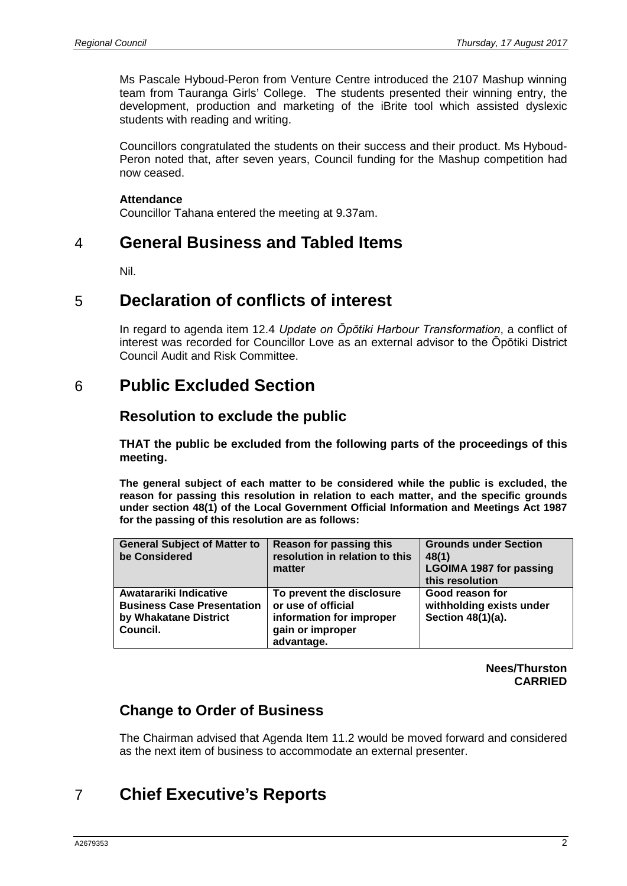Ms Pascale Hyboud-Peron from Venture Centre introduced the 2107 Mashup winning team from Tauranga Girls' College. The students presented their winning entry, the development, production and marketing of the iBrite tool which assisted dyslexic students with reading and writing.

Councillors congratulated the students on their success and their product. Ms Hyboud-Peron noted that, after seven years, Council funding for the Mashup competition had now ceased.

#### **Attendance**

Councillor Tahana entered the meeting at 9.37am.

## 4 **General Business and Tabled Items**

Nil.

## 5 **Declaration of conflicts of interest**

In regard to agenda item 12.4 *Update on Ōpōtiki Harbour Transformation*, a conflict of interest was recorded for Councillor Love as an external advisor to the Ōpōtiki District Council Audit and Risk Committee.

## 6 **Public Excluded Section**

### **Resolution to exclude the public**

**THAT the public be excluded from the following parts of the proceedings of this meeting.**

**The general subject of each matter to be considered while the public is excluded, the reason for passing this resolution in relation to each matter, and the specific grounds under section 48(1) of the Local Government Official Information and Meetings Act 1987 for the passing of this resolution are as follows:**

| <b>General Subject of Matter to</b><br>be Considered                                             | <b>Reason for passing this</b><br>resolution in relation to this<br>matter                                    | <b>Grounds under Section</b><br>48(1)<br><b>LGOIMA 1987 for passing</b><br>this resolution |
|--------------------------------------------------------------------------------------------------|---------------------------------------------------------------------------------------------------------------|--------------------------------------------------------------------------------------------|
| Awatarariki Indicative<br><b>Business Case Presentation</b><br>by Whakatane District<br>Council. | To prevent the disclosure<br>or use of official<br>information for improper<br>gain or improper<br>advantage. | Good reason for<br>withholding exists under<br>Section 48(1)(a).                           |

**Nees/Thurston CARRIED**

## **Change to Order of Business**

The Chairman advised that Agenda Item 11.2 would be moved forward and considered as the next item of business to accommodate an external presenter.

# 7 **Chief Executive's Reports**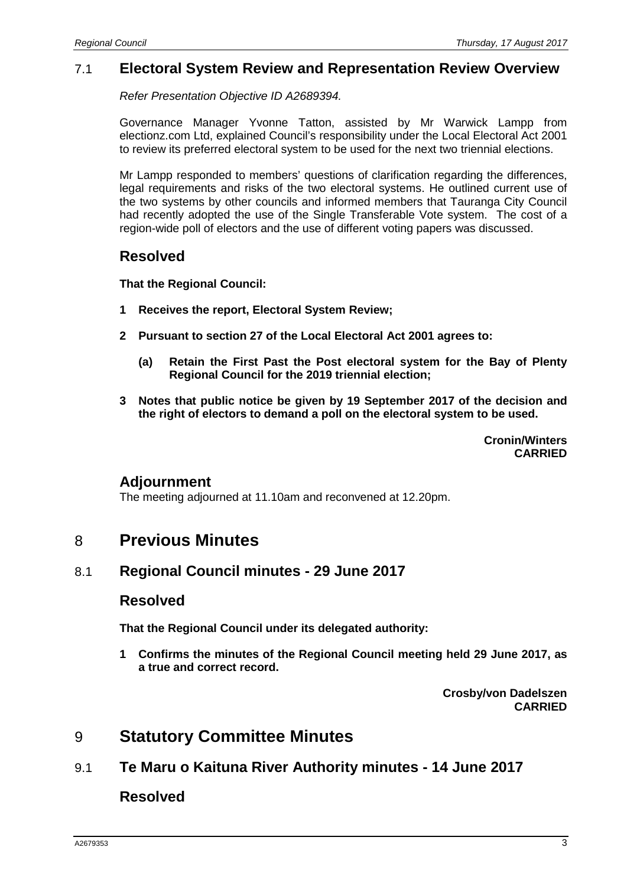### 7.1 **Electoral System Review and Representation Review Overview**

*Refer Presentation Objective ID A2689394.*

Governance Manager Yvonne Tatton, assisted by Mr Warwick Lampp from electionz.com Ltd, explained Council's responsibility under the Local Electoral Act 2001 to review its preferred electoral system to be used for the next two triennial elections.

Mr Lampp responded to members' questions of clarification regarding the differences, legal requirements and risks of the two electoral systems. He outlined current use of the two systems by other councils and informed members that Tauranga City Council had recently adopted the use of the Single Transferable Vote system. The cost of a region-wide poll of electors and the use of different voting papers was discussed.

### **Resolved**

**That the Regional Council:**

- **1 Receives the report, Electoral System Review;**
- **2 Pursuant to section 27 of the Local Electoral Act 2001 agrees to:**
	- **(a) Retain the First Past the Post electoral system for the Bay of Plenty Regional Council for the 2019 triennial election;**
- **3 Notes that public notice be given by 19 September 2017 of the decision and the right of electors to demand a poll on the electoral system to be used.**

**Cronin/Winters CARRIED**

#### **Adjournment**

The meeting adjourned at 11.10am and reconvened at 12.20pm.

## 8 **Previous Minutes**

#### 8.1 **Regional Council minutes - 29 June 2017**

#### **Resolved**

**That the Regional Council under its delegated authority:**

**1 Confirms the minutes of the Regional Council meeting held 29 June 2017, as a true and correct record.**

> **Crosby/von Dadelszen CARRIED**

## 9 **Statutory Committee Minutes**

9.1 **Te Maru o Kaituna River Authority minutes - 14 June 2017**

**Resolved**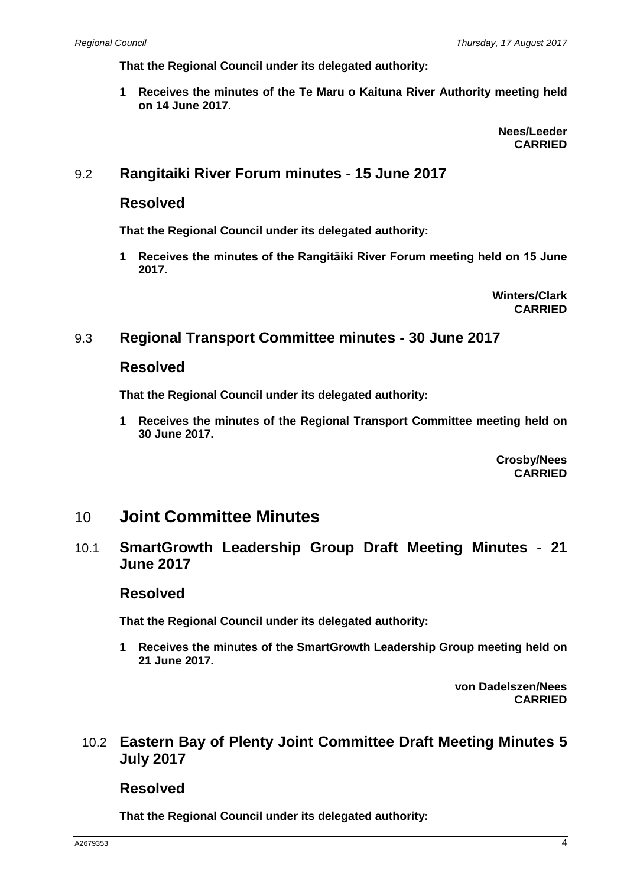**That the Regional Council under its delegated authority:**

**1 Receives the minutes of the Te Maru o Kaituna River Authority meeting held on 14 June 2017.**

> **Nees/Leeder CARRIED**

### 9.2 **Rangitaiki River Forum minutes - 15 June 2017**

### **Resolved**

**That the Regional Council under its delegated authority:**

**1 Receives the minutes of the Rangitāiki River Forum meeting held on 15 June 2017.**

> **Winters/Clark CARRIED**

#### 9.3 **Regional Transport Committee minutes - 30 June 2017**

### **Resolved**

**That the Regional Council under its delegated authority:**

**1 Receives the minutes of the Regional Transport Committee meeting held on 30 June 2017.**

> **Crosby/Nees CARRIED**

## 10 **Joint Committee Minutes**

#### 10.1 **SmartGrowth Leadership Group Draft Meeting Minutes - 21 June 2017**

#### **Resolved**

**That the Regional Council under its delegated authority:**

**1 Receives the minutes of the SmartGrowth Leadership Group meeting held on 21 June 2017.**

> **von Dadelszen/Nees CARRIED**

### 10.2 **Eastern Bay of Plenty Joint Committee Draft Meeting Minutes 5 July 2017**

**Resolved**

**That the Regional Council under its delegated authority:**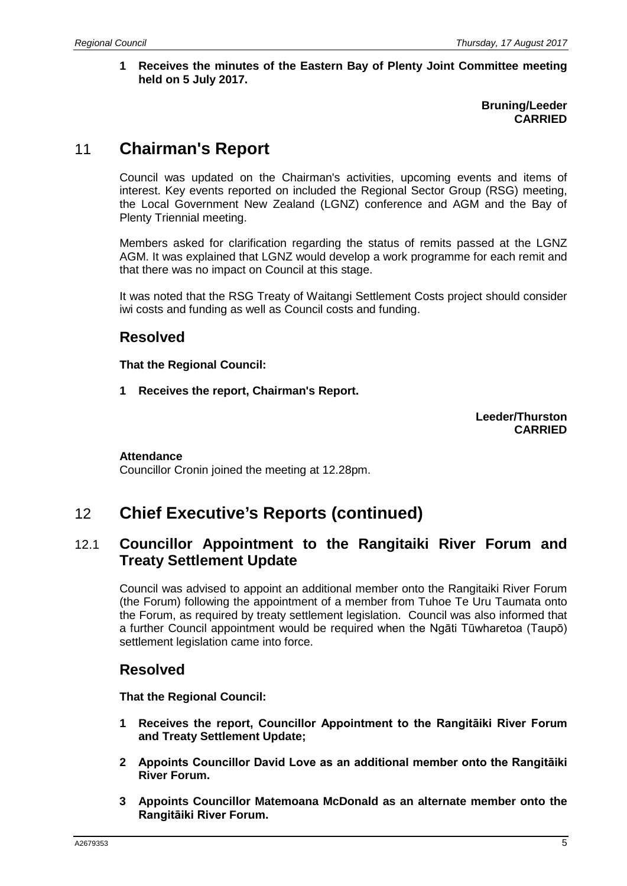**1 Receives the minutes of the Eastern Bay of Plenty Joint Committee meeting held on 5 July 2017.**

> **Bruning/Leeder CARRIED**

# 11 **Chairman's Report**

Council was updated on the Chairman's activities, upcoming events and items of interest. Key events reported on included the Regional Sector Group (RSG) meeting, the Local Government New Zealand (LGNZ) conference and AGM and the Bay of Plenty Triennial meeting.

Members asked for clarification regarding the status of remits passed at the LGNZ AGM. It was explained that LGNZ would develop a work programme for each remit and that there was no impact on Council at this stage.

It was noted that the RSG Treaty of Waitangi Settlement Costs project should consider iwi costs and funding as well as Council costs and funding.

## **Resolved**

**That the Regional Council:**

**1 Receives the report, Chairman's Report.**

**Leeder/Thurston CARRIED**

#### **Attendance**

Councillor Cronin joined the meeting at 12.28pm.

# 12 **Chief Executive's Reports (continued)**

### 12.1 **Councillor Appointment to the Rangitaiki River Forum and Treaty Settlement Update**

Council was advised to appoint an additional member onto the Rangitaiki River Forum (the Forum) following the appointment of a member from Tuhoe Te Uru Taumata onto the Forum, as required by treaty settlement legislation. Council was also informed that a further Council appointment would be required when the Ngāti Tūwharetoa (Taupō) settlement legislation came into force.

## **Resolved**

**That the Regional Council:**

- **1 Receives the report, Councillor Appointment to the Rangitāiki River Forum and Treaty Settlement Update;**
- **2 Appoints Councillor David Love as an additional member onto the Rangitāiki River Forum.**
- **3 Appoints Councillor Matemoana McDonald as an alternate member onto the Rangitāiki River Forum.**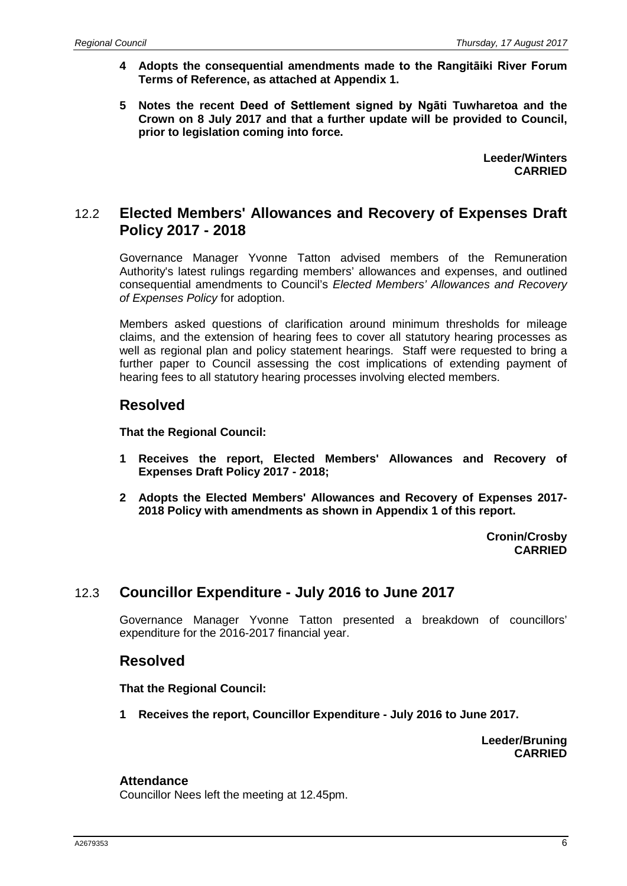- **4 Adopts the consequential amendments made to the Rangitāiki River Forum Terms of Reference, as attached at Appendix 1.**
- **5 Notes the recent Deed of Settlement signed by Ngāti Tuwharetoa and the Crown on 8 July 2017 and that a further update will be provided to Council, prior to legislation coming into force.**

**Leeder/Winters CARRIED**

### 12.2 **Elected Members' Allowances and Recovery of Expenses Draft Policy 2017 - 2018**

Governance Manager Yvonne Tatton advised members of the Remuneration Authority's latest rulings regarding members' allowances and expenses, and outlined consequential amendments to Council's *Elected Members' Allowances and Recovery of Expenses Policy* for adoption.

Members asked questions of clarification around minimum thresholds for mileage claims, and the extension of hearing fees to cover all statutory hearing processes as well as regional plan and policy statement hearings. Staff were requested to bring a further paper to Council assessing the cost implications of extending payment of hearing fees to all statutory hearing processes involving elected members.

### **Resolved**

**That the Regional Council:**

- **1 Receives the report, Elected Members' Allowances and Recovery of Expenses Draft Policy 2017 - 2018;**
- **2 Adopts the Elected Members' Allowances and Recovery of Expenses 2017- 2018 Policy with amendments as shown in Appendix 1 of this report.**

**Cronin/Crosby CARRIED**

### 12.3 **Councillor Expenditure - July 2016 to June 2017**

Governance Manager Yvonne Tatton presented a breakdown of councillors' expenditure for the 2016-2017 financial year.

#### **Resolved**

**That the Regional Council:**

**1 Receives the report, Councillor Expenditure - July 2016 to June 2017.**

**Leeder/Bruning CARRIED**

#### **Attendance**

Councillor Nees left the meeting at 12.45pm.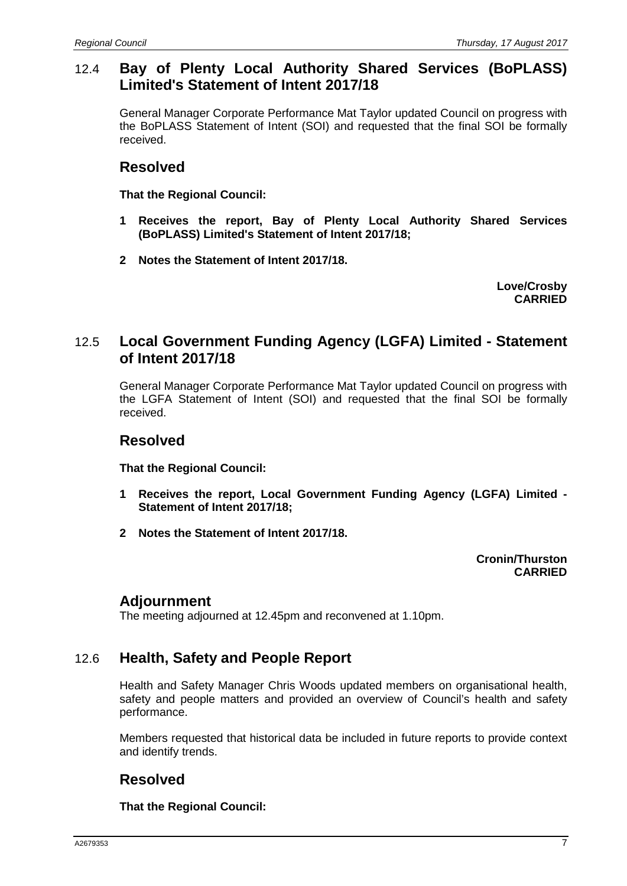### 12.4 **Bay of Plenty Local Authority Shared Services (BoPLASS) Limited's Statement of Intent 2017/18**

General Manager Corporate Performance Mat Taylor updated Council on progress with the BoPLASS Statement of Intent (SOI) and requested that the final SOI be formally received.

### **Resolved**

**That the Regional Council:**

- **1 Receives the report, Bay of Plenty Local Authority Shared Services (BoPLASS) Limited's Statement of Intent 2017/18;**
- **2 Notes the Statement of Intent 2017/18.**

**Love/Crosby CARRIED**

### 12.5 **Local Government Funding Agency (LGFA) Limited - Statement of Intent 2017/18**

General Manager Corporate Performance Mat Taylor updated Council on progress with the LGFA Statement of Intent (SOI) and requested that the final SOI be formally received.

### **Resolved**

**That the Regional Council:**

- **1 Receives the report, Local Government Funding Agency (LGFA) Limited - Statement of Intent 2017/18;**
- **2 Notes the Statement of Intent 2017/18.**

**Cronin/Thurston CARRIED**

### **Adjournment**

The meeting adjourned at 12.45pm and reconvened at 1.10pm.

### 12.6 **Health, Safety and People Report**

Health and Safety Manager Chris Woods updated members on organisational health, safety and people matters and provided an overview of Council's health and safety performance.

Members requested that historical data be included in future reports to provide context and identify trends.

## **Resolved**

**That the Regional Council:**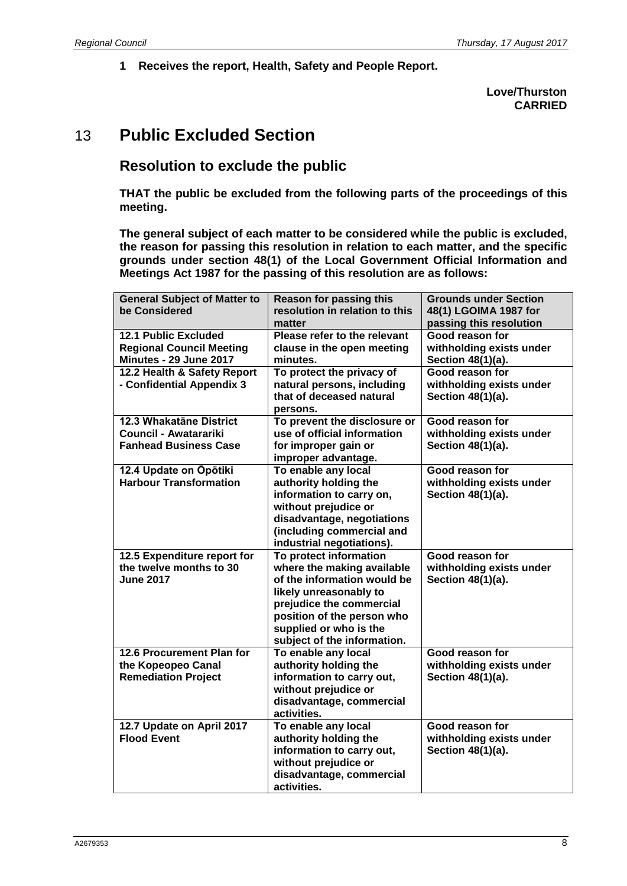**1 Receives the report, Health, Safety and People Report.**

#### **Love/Thurston CARRIED**

# 13 **Public Excluded Section**

### **Resolution to exclude the public**

**THAT the public be excluded from the following parts of the proceedings of this meeting.**

**The general subject of each matter to be considered while the public is excluded, the reason for passing this resolution in relation to each matter, and the specific grounds under section 48(1) of the Local Government Official Information and Meetings Act 1987 for the passing of this resolution are as follows:**

| <b>General Subject of Matter to</b> | <b>Reason for passing this</b> | <b>Grounds under Section</b> |
|-------------------------------------|--------------------------------|------------------------------|
| be Considered                       | resolution in relation to this | 48(1) LGOIMA 1987 for        |
|                                     | matter                         | passing this resolution      |
| <b>12.1 Public Excluded</b>         | Please refer to the relevant   | Good reason for              |
| <b>Regional Council Meeting</b>     | clause in the open meeting     | withholding exists under     |
| Minutes - 29 June 2017              | minutes.                       | Section 48(1)(a).            |
| 12.2 Health & Safety Report         | To protect the privacy of      | Good reason for              |
| - Confidential Appendix 3           | natural persons, including     | withholding exists under     |
|                                     | that of deceased natural       | Section 48(1)(a).            |
|                                     | persons.                       |                              |
| 12.3 Whakatāne District             | To prevent the disclosure or   | Good reason for              |
| <b>Council - Awatarariki</b>        | use of official information    | withholding exists under     |
| <b>Fanhead Business Case</b>        | for improper gain or           | Section 48(1)(a).            |
|                                     | improper advantage.            |                              |
| 12.4 Update on Opotiki              | To enable any local            | Good reason for              |
| <b>Harbour Transformation</b>       | authority holding the          | withholding exists under     |
|                                     | information to carry on,       | Section 48(1)(a).            |
|                                     | without prejudice or           |                              |
|                                     | disadvantage, negotiations     |                              |
|                                     | (including commercial and      |                              |
|                                     | industrial negotiations).      |                              |
| 12.5 Expenditure report for         | To protect information         | Good reason for              |
| the twelve months to 30             | where the making available     | withholding exists under     |
| <b>June 2017</b>                    | of the information would be    | Section 48(1)(a).            |
|                                     | likely unreasonably to         |                              |
|                                     | prejudice the commercial       |                              |
|                                     | position of the person who     |                              |
|                                     | supplied or who is the         |                              |
|                                     | subject of the information.    |                              |
| 12.6 Procurement Plan for           | To enable any local            | Good reason for              |
| the Kopeopeo Canal                  | authority holding the          | withholding exists under     |
| <b>Remediation Project</b>          | information to carry out,      | Section 48(1)(a).            |
|                                     | without prejudice or           |                              |
|                                     | disadvantage, commercial       |                              |
|                                     | activities.                    |                              |
| 12.7 Update on April 2017           | To enable any local            | Good reason for              |
| <b>Flood Event</b>                  | authority holding the          | withholding exists under     |
|                                     | information to carry out,      | Section 48(1)(a).            |
|                                     | without prejudice or           |                              |
|                                     | disadvantage, commercial       |                              |
|                                     | activities.                    |                              |